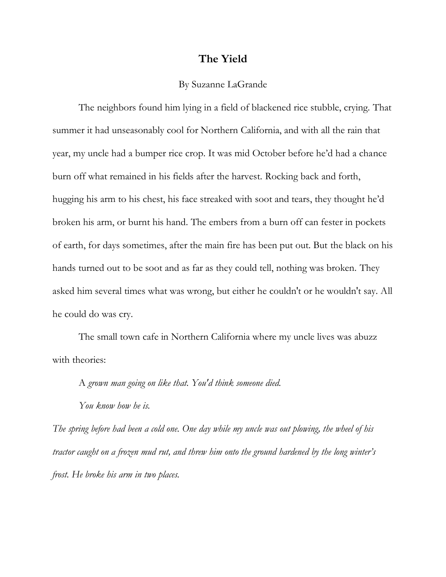## **The Yield**

## By Suzanne LaGrande

The neighbors found him lying in a field of blackened rice stubble, crying. That summer it had unseasonably cool for Northern California, and with all the rain that year, my uncle had a bumper rice crop. It was mid October before he'd had a chance burn off what remained in his fields after the harvest. Rocking back and forth, hugging his arm to his chest, his face streaked with soot and tears, they thought he'd broken his arm, or burnt his hand. The embers from a burn off can fester in pockets of earth, for days sometimes, after the main fire has been put out. But the black on his hands turned out to be soot and as far as they could tell, nothing was broken. They asked him several times what was wrong, but either he couldn't or he wouldn't say. All he could do was cry.

The small town cafe in Northern California where my uncle lives was abuzz with theories:

A *grown man going on like that. You'd think someone died.* 

*You know how he is.* 

*The spring before had been a cold one. One day while my uncle was out plowing, the wheel of his tractor caught on a frozen mud rut, and threw him onto the ground hardened by the long winter's frost. He broke his arm in two places.*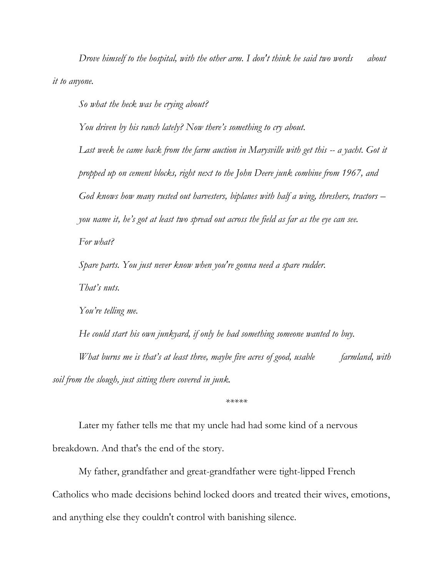*Drove himself to the hospital, with the other arm. I don't think he said two words about it to anyone.*

*So what the heck was he crying about?*

*You driven by his ranch lately? Now there's something to cry about.*

*Last week he came back from the farm auction in Marysville with get this -- a yacht. Got it propped up on cement blocks, right next to the John Deere junk combine from 1967, and God knows how many rusted out harvesters, biplanes with half a wing, threshers, tractors – you name it, he's got at least two spread out across the field as far as the eye can see. For what?*

*Spare parts. You just never know when you're gonna need a spare rudder.*

*That's nuts.* 

*You're telling me.*

*He could start his own junkyard, if only he had something someone wanted to buy. What burns me is that's at least three, maybe five acres of good, usable farmland, with soil from the slough, just sitting there covered in junk.* 

*\*\*\*\*\**

Later my father tells me that my uncle had had some kind of a nervous breakdown. And that's the end of the story.

My father, grandfather and great-grandfather were tight-lipped French Catholics who made decisions behind locked doors and treated their wives, emotions, and anything else they couldn't control with banishing silence.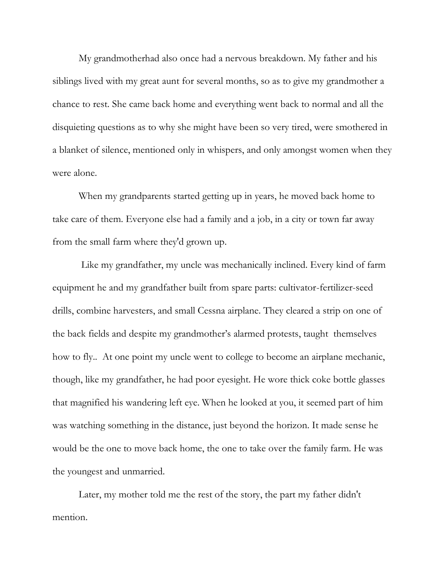My grandmotherhad also once had a nervous breakdown. My father and his siblings lived with my great aunt for several months, so as to give my grandmother a chance to rest. She came back home and everything went back to normal and all the disquieting questions as to why she might have been so very tired, were smothered in a blanket of silence, mentioned only in whispers, and only amongst women when they were alone.

When my grandparents started getting up in years, he moved back home to take care of them. Everyone else had a family and a job, in a city or town far away from the small farm where they'd grown up.

Like my grandfather, my uncle was mechanically inclined. Every kind of farm equipment he and my grandfather built from spare parts: cultivator-fertilizer-seed drills, combine harvesters, and small Cessna airplane. They cleared a strip on one of the back fields and despite my grandmother's alarmed protests, taught themselves how to fly.. At one point my uncle went to college to become an airplane mechanic, though, like my grandfather, he had poor eyesight. He wore thick coke bottle glasses that magnified his wandering left eye. When he looked at you, it seemed part of him was watching something in the distance, just beyond the horizon. It made sense he would be the one to move back home, the one to take over the family farm. He was the youngest and unmarried.

Later, my mother told me the rest of the story, the part my father didn't mention.